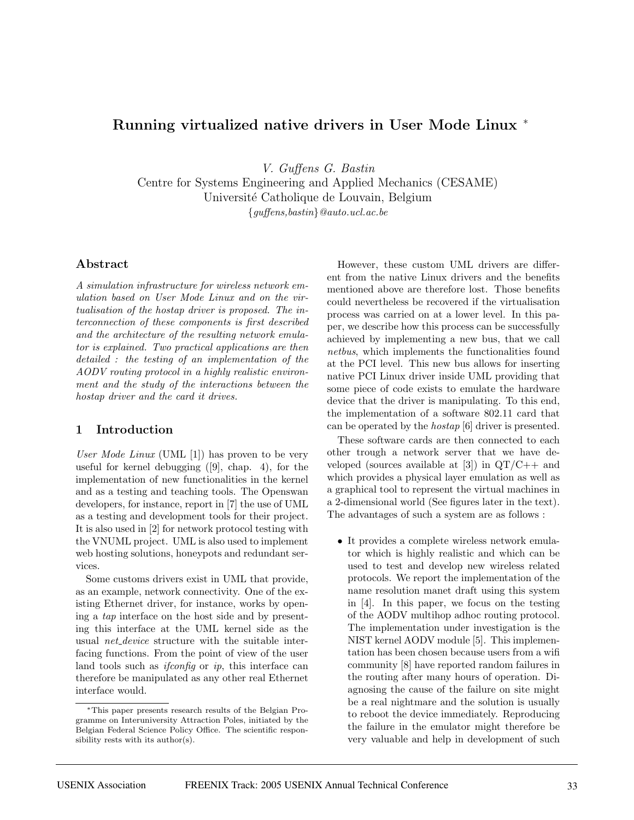# **Running virtualized native drivers in User Mode Linux** <sup>∗</sup>

V. Guffens G. Bastin

Centre for Systems Engineering and Applied Mechanics (CESAME) Université Catholique de Louvain, Belgium

{guffens,bastin}@auto.ucl.ac.be

## **Abstract**

A simulation infrastructure for wireless network emulation based on User Mode Linux and on the virtualisation of the hostap driver is proposed. The interconnection of these components is first described and the architecture of the resulting network emulator is explained. Two practical applications are then detailed : the testing of an implementation of the AODV routing protocol in a highly realistic environment and the study of the interactions between the hostap driver and the card it drives.

## **1 Introduction**

User Mode Linux (UML [1]) has proven to be very useful for kernel debugging  $([9],$  chap. 4), for the implementation of new functionalities in the kernel and as a testing and teaching tools. The Openswan developers, for instance, report in [7] the use of UML as a testing and development tools for their project. It is also used in [2] for network protocol testing with the VNUML project. UML is also used to implement web hosting solutions, honeypots and redundant services.

Some customs drivers exist in UML that provide, as an example, network connectivity. One of the existing Ethernet driver, for instance, works by opening a tap interface on the host side and by presenting this interface at the UML kernel side as the usual net device structure with the suitable interfacing functions. From the point of view of the user land tools such as *if config* or *ip*, this interface can therefore be manipulated as any other real Ethernet interface would.

However, these custom UML drivers are different from the native Linux drivers and the benefits mentioned above are therefore lost. Those benefits could nevertheless be recovered if the virtualisation process was carried on at a lower level. In this paper, we describe how this process can be successfully achieved by implementing a new bus, that we call netbus, which implements the functionalities found at the PCI level. This new bus allows for inserting native PCI Linux driver inside UML providing that some piece of code exists to emulate the hardware device that the driver is manipulating. To this end, the implementation of a software 802.11 card that can be operated by the hostap [6] driver is presented.

These software cards are then connected to each other trough a network server that we have developed (sources available at  $[3]$ ) in  $\mathrm{QT}/\mathrm{C}++$  and which provides a physical layer emulation as well as a graphical tool to represent the virtual machines in a 2-dimensional world (See figures later in the text). The advantages of such a system are as follows :

• It provides a complete wireless network emulator which is highly realistic and which can be used to test and develop new wireless related protocols. We report the implementation of the name resolution manet draft using this system in [4]. In this paper, we focus on the testing of the AODV multihop adhoc routing protocol. The implementation under investigation is the NIST kernel AODV module [5]. This implementation has been chosen because users from a wifi community [8] have reported random failures in the routing after many hours of operation. Diagnosing the cause of the failure on site might be a real nightmare and the solution is usually to reboot the device immediately. Reproducing the failure in the emulator might therefore be very valuable and help in development of such

<sup>∗</sup>This paper presents research results of the Belgian Programme on Interuniversity Attraction Poles, initiated by the Belgian Federal Science Policy Office. The scientific responsibility rests with its author(s).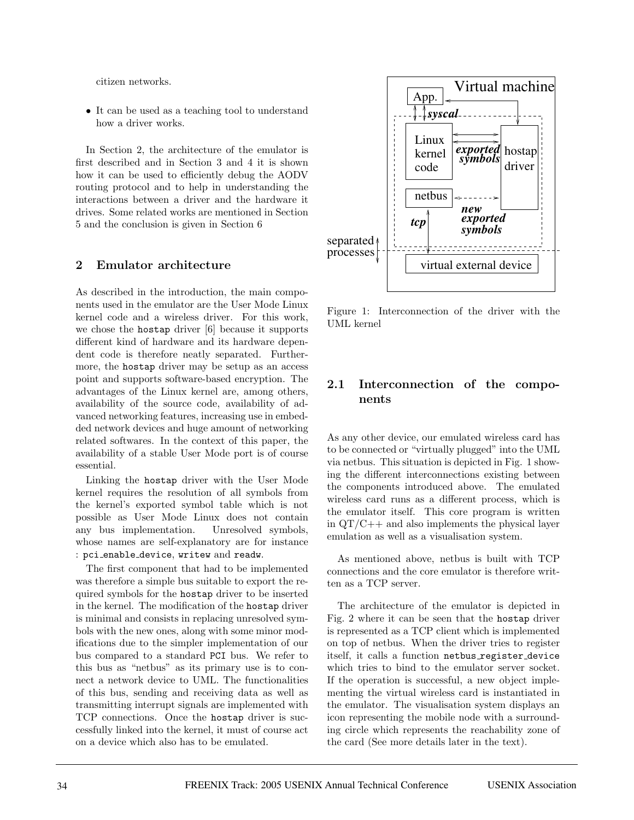citizen networks.

• It can be used as a teaching tool to understand how a driver works.

In Section 2, the architecture of the emulator is first described and in Section 3 and 4 it is shown how it can be used to efficiently debug the AODV routing protocol and to help in understanding the interactions between a driver and the hardware it drives. Some related works are mentioned in Section 5 and the conclusion is given in Section 6

### **2 Emulator architecture**

As described in the introduction, the main components used in the emulator are the User Mode Linux kernel code and a wireless driver. For this work, we chose the hostap driver [6] because it supports different kind of hardware and its hardware dependent code is therefore neatly separated. Furthermore, the hostap driver may be setup as an access point and supports software-based encryption. The advantages of the Linux kernel are, among others, availability of the source code, availability of advanced networking features, increasing use in embedded network devices and huge amount of networking related softwares. In the context of this paper, the availability of a stable User Mode port is of course essential.

Linking the hostap driver with the User Mode kernel requires the resolution of all symbols from the kernel's exported symbol table which is not possible as User Mode Linux does not contain any bus implementation. Unresolved symbols, whose names are self-explanatory are for instance : pci\_enable\_device, writew and readw.

The first component that had to be implemented was therefore a simple bus suitable to export the required symbols for the hostap driver to be inserted in the kernel. The modification of the hostap driver is minimal and consists in replacing unresolved symbols with the new ones, along with some minor modifications due to the simpler implementation of our bus compared to a standard PCI bus. We refer to this bus as "netbus" as its primary use is to connect a network device to UML. The functionalities of this bus, sending and receiving data as well as transmitting interrupt signals are implemented with TCP connections. Once the hostap driver is successfully linked into the kernel, it must of course act on a device which also has to be emulated.



Figure 1: Interconnection of the driver with the UML kernel

## **2.1 Interconnection of the components**

As any other device, our emulated wireless card has to be connected or "virtually plugged" into the UML via netbus. This situation is depicted in Fig. 1 showing the different interconnections existing between the components introduced above. The emulated wireless card runs as a different process, which is the emulator itself. This core program is written in  $QT/C++$  and also implements the physical layer emulation as well as a visualisation system.

As mentioned above, netbus is built with TCP connections and the core emulator is therefore written as a TCP server.

The architecture of the emulator is depicted in Fig. 2 where it can be seen that the hostap driver is represented as a TCP client which is implemented on top of netbus. When the driver tries to register itself, it calls a function netbus register device which tries to bind to the emulator server socket. If the operation is successful, a new object implementing the virtual wireless card is instantiated in the emulator. The visualisation system displays an icon representing the mobile node with a surrounding circle which represents the reachability zone of the card (See more details later in the text).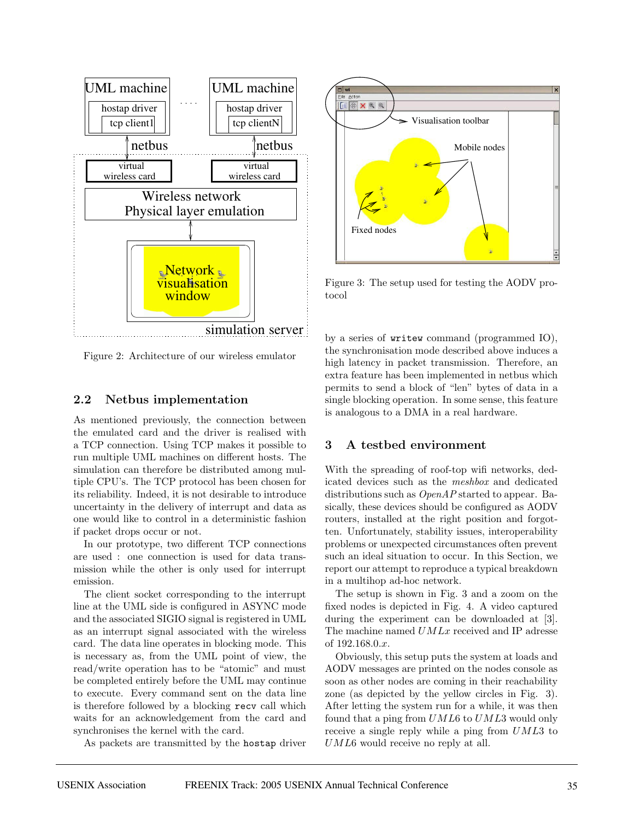

Figure 2: Architecture of our wireless emulator

### **2.2 Netbus implementation**

As mentioned previously, the connection between the emulated card and the driver is realised with a TCP connection. Using TCP makes it possible to run multiple UML machines on different hosts. The simulation can therefore be distributed among multiple CPU's. The TCP protocol has been chosen for its reliability. Indeed, it is not desirable to introduce uncertainty in the delivery of interrupt and data as one would like to control in a deterministic fashion if packet drops occur or not.

In our prototype, two different TCP connections are used : one connection is used for data transmission while the other is only used for interrupt emission.

The client socket corresponding to the interrupt line at the UML side is configured in ASYNC mode and the associated SIGIO signal is registered in UML as an interrupt signal associated with the wireless card. The data line operates in blocking mode. This is necessary as, from the UML point of view, the read/write operation has to be "atomic" and must be completed entirely before the UML may continue to execute. Every command sent on the data line is therefore followed by a blocking recv call which waits for an acknowledgement from the card and synchronises the kernel with the card.

As packets are transmitted by the hostap driver



Figure 3: The setup used for testing the AODV protocol

by a series of writew command (programmed IO), the synchronisation mode described above induces a high latency in packet transmission. Therefore, an extra feature has been implemented in netbus which permits to send a block of "len" bytes of data in a single blocking operation. In some sense, this feature is analogous to a DMA in a real hardware.

## **3 A testbed environment**

With the spreading of roof-top wifi networks, dedicated devices such as the meshbox and dedicated distributions such as *OpenAP* started to appear. Basically, these devices should be configured as AODV routers, installed at the right position and forgotten. Unfortunately, stability issues, interoperability problems or unexpected circumstances often prevent such an ideal situation to occur. In this Section, we report our attempt to reproduce a typical breakdown in a multihop ad-hoc network.

The setup is shown in Fig. 3 and a zoom on the fixed nodes is depicted in Fig. 4. A video captured during the experiment can be downloaded at [3]. The machine named  $UMLx$  received and IP adresse of 192.168.0.x.

Obviously, this setup puts the system at loads and AODV messages are printed on the nodes console as soon as other nodes are coming in their reachability zone (as depicted by the yellow circles in Fig. 3). After letting the system run for a while, it was then found that a ping from  $UML6$  to  $UML3$  would only receive a single reply while a ping from UML3 to UML6 would receive no reply at all.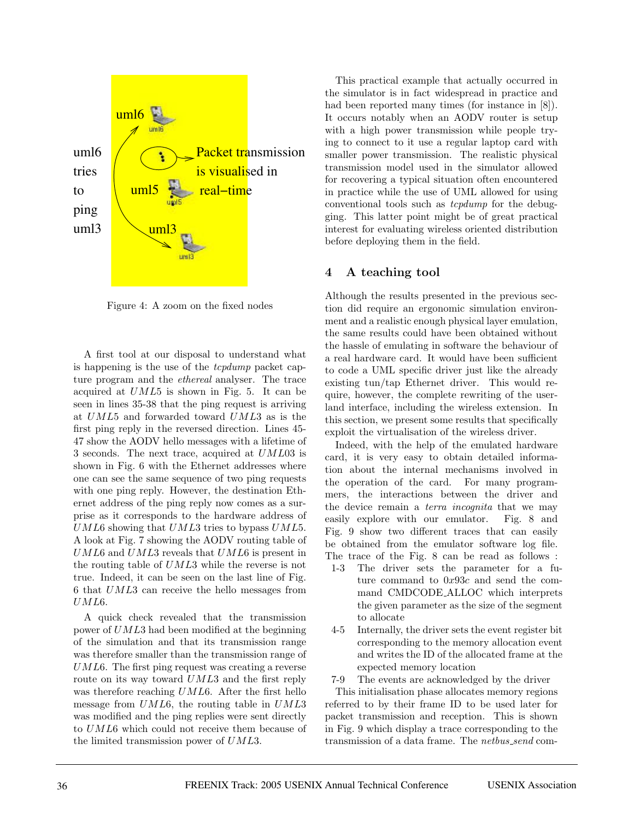

Figure 4: A zoom on the fixed nodes

A first tool at our disposal to understand what is happening is the use of the tcpdump packet capture program and the ethereal analyser. The trace acquired at UML5 is shown in Fig. 5. It can be seen in lines 35-38 that the ping request is arriving at UML5 and forwarded toward UML3 as is the first ping reply in the reversed direction. Lines 45- 47 show the AODV hello messages with a lifetime of 3 seconds. The next trace, acquired at UML03 is shown in Fig. 6 with the Ethernet addresses where one can see the same sequence of two ping requests with one ping reply. However, the destination Ethernet address of the ping reply now comes as a surprise as it corresponds to the hardware address of  $UML6$  showing that  $UML3$  tries to bypass  $UML5$ . A look at Fig. 7 showing the AODV routing table of UML6 and UML3 reveals that UML6 is present in the routing table of UML3 while the reverse is not true. Indeed, it can be seen on the last line of Fig. 6 that UML3 can receive the hello messages from UML6.

A quick check revealed that the transmission power of UML3 had been modified at the beginning of the simulation and that its transmission range was therefore smaller than the transmission range of UML6. The first ping request was creating a reverse route on its way toward UML3 and the first reply was therefore reaching UML6. After the first hello message from UML6, the routing table in UML3 was modified and the ping replies were sent directly to UML6 which could not receive them because of the limited transmission power of UML3.

This practical example that actually occurred in the simulator is in fact widespread in practice and had been reported many times (for instance in [8]). It occurs notably when an AODV router is setup with a high power transmission while people trying to connect to it use a regular laptop card with smaller power transmission. The realistic physical transmission model used in the simulator allowed for recovering a typical situation often encountered in practice while the use of UML allowed for using conventional tools such as tcpdump for the debugging. This latter point might be of great practical interest for evaluating wireless oriented distribution before deploying them in the field.

### **4 A teaching tool**

Although the results presented in the previous section did require an ergonomic simulation environment and a realistic enough physical layer emulation, the same results could have been obtained without the hassle of emulating in software the behaviour of a real hardware card. It would have been sufficient to code a UML specific driver just like the already existing tun/tap Ethernet driver. This would require, however, the complete rewriting of the userland interface, including the wireless extension. In this section, we present some results that specifically exploit the virtualisation of the wireless driver.

Indeed, with the help of the emulated hardware card, it is very easy to obtain detailed information about the internal mechanisms involved in the operation of the card. For many programmers, the interactions between the driver and the device remain a *terra incognita* that we may easily explore with our emulator. Fig. 8 and Fig. 9 show two different traces that can easily be obtained from the emulator software log file. The trace of the Fig. 8 can be read as follows :

- 1-3 The driver sets the parameter for a future command to 0x93c and send the command CMDCODE ALLOC which interprets the given parameter as the size of the segment to allocate
- 4-5 Internally, the driver sets the event register bit corresponding to the memory allocation event and writes the ID of the allocated frame at the expected memory location
- 7-9 The events are acknowledged by the driver

This initialisation phase allocates memory regions referred to by their frame ID to be used later for packet transmission and reception. This is shown in Fig. 9 which display a trace corresponding to the transmission of a data frame. The netbus send com-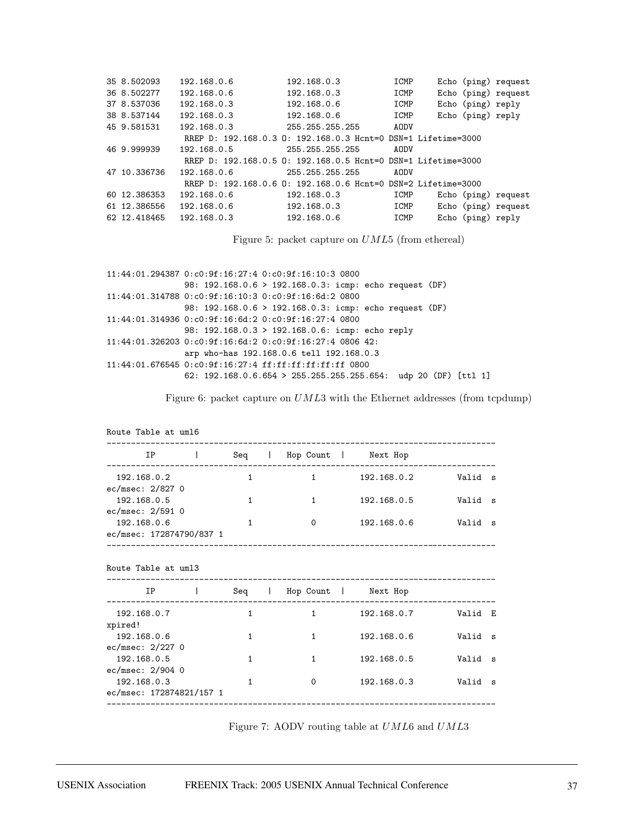| 35 8.502093  | 192.168.0.6 | 192.168.0.3                                                   | ICMP | Echo (ping) request |
|--------------|-------------|---------------------------------------------------------------|------|---------------------|
| 36 8.502277  | 192.168.0.6 | 192.168.0.3                                                   | ICMP | Echo (ping) request |
| 37 8.537036  | 192.168.0.3 | 192.168.0.6                                                   | ICMP | Echo (ping) reply   |
| 38 8.537144  | 192.168.0.3 | 192.168.0.6                                                   | ICMP | Echo (ping) reply   |
| 45 9.581531  | 192.168.0.3 | 255.255.255.255                                               | AODV |                     |
|              |             | RREP D: 192.168.0.3 0: 192.168.0.3 Hcnt=0 DSN=1 Lifetime=3000 |      |                     |
| 46 9.999939  | 192.168.0.5 | 255.255.255.255                                               | AODV |                     |
|              |             | RREP D: 192.168.0.5 0: 192.168.0.5 Hcnt=0 DSN=1 Lifetime=3000 |      |                     |
| 47 10.336736 | 192.168.0.6 | 255.255.255.255                                               | AODV |                     |
|              |             | RREP D: 192.168.0.6 0: 192.168.0.6 Hcnt=0 DSN=2 Lifetime=3000 |      |                     |
| 60 12.386353 | 192.168.0.6 | 192.168.0.3                                                   | ICMP | Echo (ping) request |
| 61 12.386556 | 192.168.0.6 | 192.168.0.3                                                   | ICMP | Echo (ping) request |
| 62 12.418465 | 192.168.0.3 | 192.168.0.6                                                   | ICMP | Echo (ping) reply   |

Figure 5: packet capture on UML5 (from ethereal)

```
11:44:01.294387 0:c0:9f:16:27:4 0:c0:9f:16:10:3 0800
                98: 192.168.0.6 > 192.168.0.3: icmp: echo request (DF)
11:44:01.314788 0:c0:9f:16:10:3 0:c0:9f:16:6d:2 0800
                98: 192.168.0.6 > 192.168.0.3: icmp: echo request (DF)
11:44:01.314936 0:c0:9f:16:6d:2 0:c0:9f:16:27:4 0800
                98: 192.168.0.3 > 192.168.0.6: icmp: echo reply
11:44:01.326203 0:c0:9f:16:6d:2 0:c0:9f:16:27:4 0806 42:
                arp who-has 192.168.0.6 tell 192.168.0.3
11:44:01.676545 0:c0:9f:16:27:4 ff:ff:ff:ff:ff:ff 0800
                62: 192.168.0.6.654 > 255.255.255.255.654: udp 20 (DF) [ttl 1]
```
Figure 6: packet capture on  $UML3$  with the Ethernet addresses (from tcpdump)

| Route Table at um16                                                                                                                                                                                                                                                                                                                      |              |                                 |                                      |         |  |
|------------------------------------------------------------------------------------------------------------------------------------------------------------------------------------------------------------------------------------------------------------------------------------------------------------------------------------------|--------------|---------------------------------|--------------------------------------|---------|--|
| $IP$ $\qquad$ $\qquad$ $\qquad$ $\qquad$ $\qquad$ $\qquad$ $\qquad$ $\qquad$ $\qquad$ $\qquad$ $\qquad$ $\qquad$ $\qquad$ $\qquad$ $\qquad$ $\qquad$ $\qquad$ $\qquad$ $\qquad$ $\qquad$ $\qquad$ $\qquad$ $\qquad$ $\qquad$ $\qquad$ $\qquad$ $\qquad$ $\qquad$ $\qquad$ $\qquad$ $\qquad$ $\qquad$ $\qquad$ $\qquad$ $\qquad$ $\qquad$ |              | Seq   Hop Count   Next Hop      |                                      |         |  |
| 192.168.0.2                                                                                                                                                                                                                                                                                                                              | $\mathbf{1}$ |                                 | 1 192.168.0.2 Valid s                |         |  |
| ec/msec: 2/827 0                                                                                                                                                                                                                                                                                                                         |              |                                 |                                      |         |  |
| 192.168.0.5                                                                                                                                                                                                                                                                                                                              | $\mathbf{1}$ |                                 |                                      |         |  |
| ec/msec: 2/591 0                                                                                                                                                                                                                                                                                                                         |              |                                 |                                      |         |  |
| 192.168.0.6                                                                                                                                                                                                                                                                                                                              | $\mathbf{1}$ | $\Omega$                        | 192.168.0.6    Valid s               |         |  |
| ec/msec: 172874790/837 1                                                                                                                                                                                                                                                                                                                 |              |                                 |                                      |         |  |
|                                                                                                                                                                                                                                                                                                                                          |              | IP   Seq   Hop Count   Next Hop |                                      |         |  |
| 192.168.0.7                                                                                                                                                                                                                                                                                                                              | $\mathbf{1}$ |                                 | 1 192.168.0.7    Valid E             |         |  |
| xpired!                                                                                                                                                                                                                                                                                                                                  |              |                                 |                                      |         |  |
| 192.168.0.6                                                                                                                                                                                                                                                                                                                              | 1            | $1 \quad \cdots$                | 192.168.0.6 Valid s                  |         |  |
| ec/msec: 2/227 0                                                                                                                                                                                                                                                                                                                         |              |                                 |                                      |         |  |
| 192.168.0.5                                                                                                                                                                                                                                                                                                                              | 1            | $\mathbf{1}$                    | 192.168.0.5                          | Valid s |  |
| ec/msec: 2/904 0                                                                                                                                                                                                                                                                                                                         |              |                                 |                                      |         |  |
| 192.168.0.3                                                                                                                                                                                                                                                                                                                              | $\mathbf{1}$ | $\Omega$                        | 192.168.0.3 Valid s                  |         |  |
| ec/msec: 172874821/157 1                                                                                                                                                                                                                                                                                                                 |              |                                 | ____________________________________ |         |  |
|                                                                                                                                                                                                                                                                                                                                          |              |                                 |                                      |         |  |

Figure 7: AODV routing table at UML6 and UML3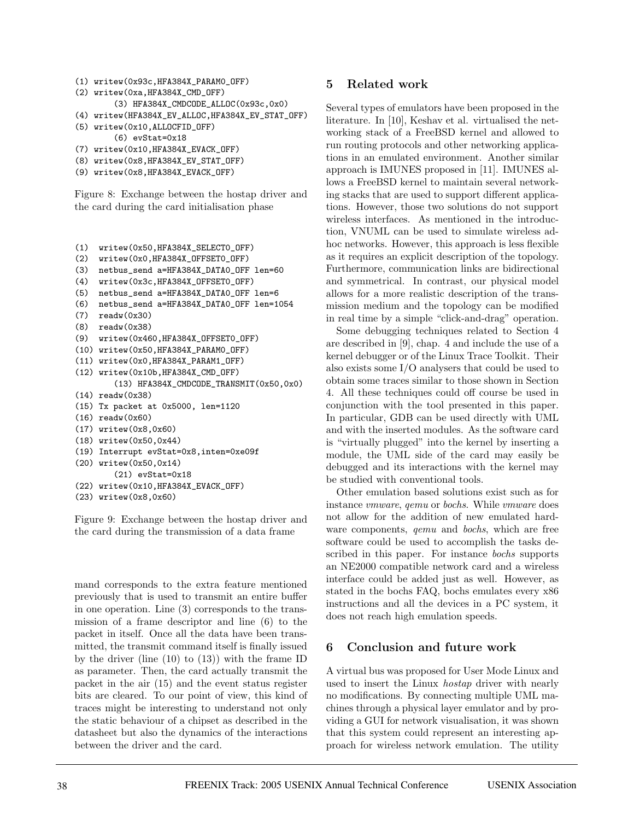```
(1) writew(0x93c,HFA384X_PARAM0_OFF)
(2) writew(0xa,HFA384X_CMD_OFF)
        (3) HFA384X_CMDCODE_ALLOC(0x93c,0x0)
(4) writew(HFA384X_EV_ALLOC,HFA384X_EV_STAT_OFF)
(5) writew(0x10,ALLOCFID_OFF)
        (6) evStat=0x18
```
- (7) writew(0x10,HFA384X\_EVACK\_OFF)
- (8) writew(0x8,HFA384X\_EV\_STAT\_OFF)
- (9) writew(0x8,HFA384X\_EVACK\_OFF)

Figure 8: Exchange between the hostap driver and the card during the card initialisation phase

```
(1) writew(0x50,HFA384X_SELECT0_OFF)
```

```
(2) writew(0x0,HFA384X_OFFSET0_OFF)
```

```
(3) netbus_send a=HFA384X_DATA0_OFF len=60
```

```
(4) writew(0x3c,HFA384X_OFFSET0_OFF)
```

```
(5) netbus_send a=HFA384X_DATA0_OFF len=6
```

```
(6) netbus_send a=HFA384X_DATA0_OFF len=1054
```

```
(7) readw(0x30)
```

```
(8) readw(0x38)
```

```
(9) writew(0x460,HFA384X_OFFSET0_OFF)
```

```
(10) writew(0x50,HFA384X_PARAM0_OFF)
```

```
(11) writew(0x0,HFA384X_PARAM1_OFF)
```

```
(12) writew(0x10b,HFA384X_CMD_OFF)
```

```
(13) HFA384X_CMDCODE_TRANSMIT(0x50,0x0)
(14) readw(0x38)
```

```
(15) Tx packet at 0x5000, len=1120
```

```
(16) readw(0x60)
```

```
(17) writew(0x8,0x60)
```

```
(18) writew(0x50,0x44)
```

```
(19) Interrupt evStat=0x8,inten=0xe09f
```

```
(20) writew(0x50,0x14)
```

```
(21) evStat=0x18
```

```
(22) writew(0x10,HFA384X_EVACK_OFF)
```

```
(23) writew(0x8,0x60)
```
Figure 9: Exchange between the hostap driver and the card during the transmission of a data frame

mand corresponds to the extra feature mentioned previously that is used to transmit an entire buffer in one operation. Line (3) corresponds to the transmission of a frame descriptor and line (6) to the packet in itself. Once all the data have been transmitted, the transmit command itself is finally issued by the driver (line  $(10)$  to  $(13)$ ) with the frame ID as parameter. Then, the card actually transmit the packet in the air (15) and the event status register bits are cleared. To our point of view, this kind of traces might be interesting to understand not only the static behaviour of a chipset as described in the datasheet but also the dynamics of the interactions between the driver and the card.

### **5 Related work**

Several types of emulators have been proposed in the literature. In [10], Keshav et al. virtualised the networking stack of a FreeBSD kernel and allowed to run routing protocols and other networking applications in an emulated environment. Another similar approach is IMUNES proposed in [11]. IMUNES allows a FreeBSD kernel to maintain several networking stacks that are used to support different applications. However, those two solutions do not support wireless interfaces. As mentioned in the introduction, VNUML can be used to simulate wireless adhoc networks. However, this approach is less flexible as it requires an explicit description of the topology. Furthermore, communication links are bidirectional and symmetrical. In contrast, our physical model allows for a more realistic description of the transmission medium and the topology can be modified in real time by a simple "click-and-drag" operation.

Some debugging techniques related to Section 4 are described in [9], chap. 4 and include the use of a kernel debugger or of the Linux Trace Toolkit. Their also exists some I/O analysers that could be used to obtain some traces similar to those shown in Section 4. All these techniques could off course be used in conjunction with the tool presented in this paper. In particular, GDB can be used directly with UML and with the inserted modules. As the software card is "virtually plugged" into the kernel by inserting a module, the UML side of the card may easily be debugged and its interactions with the kernel may be studied with conventional tools.

Other emulation based solutions exist such as for instance vmware, qemu or bochs. While vmware does not allow for the addition of new emulated hardware components, *qemu* and *bochs*, which are free software could be used to accomplish the tasks described in this paper. For instance bochs supports an NE2000 compatible network card and a wireless interface could be added just as well. However, as stated in the bochs FAQ, bochs emulates every x86 instructions and all the devices in a PC system, it does not reach high emulation speeds.

## **6 Conclusion and future work**

A virtual bus was proposed for User Mode Linux and used to insert the Linux hostap driver with nearly no modifications. By connecting multiple UML machines through a physical layer emulator and by providing a GUI for network visualisation, it was shown that this system could represent an interesting approach for wireless network emulation. The utility